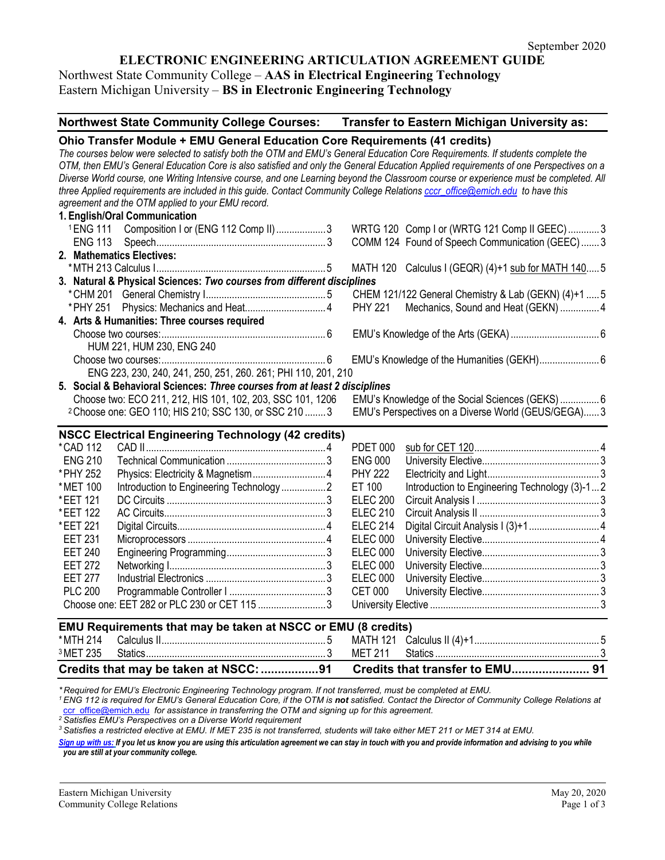### **ELECTRONIC ENGINEERING ARTICULATION AGREEMENT GUIDE**

Northwest State Community College – **AAS in Electrical Engineering Technology** Eastern Michigan University – **BS in Electronic Engineering Technology**

| Northwest State Community College Courses: Transfer to Eastern Michigan University as:                                                                                                                                                                                                                                                                                                                            |                                                         |  |  |  |
|-------------------------------------------------------------------------------------------------------------------------------------------------------------------------------------------------------------------------------------------------------------------------------------------------------------------------------------------------------------------------------------------------------------------|---------------------------------------------------------|--|--|--|
| Ohio Transfer Module + EMU General Education Core Requirements (41 credits)                                                                                                                                                                                                                                                                                                                                       |                                                         |  |  |  |
| The courses below were selected to satisfy both the OTM and EMU's General Education Core Requirements. If students complete the<br>OTM, then EMU's General Education Core is also satisfied and only the General Education Applied requirements of one Perspectives on a<br>Diverse World course, one Writing Intensive course, and one Learning beyond the Classroom course or experience must be completed. All |                                                         |  |  |  |
| three Applied requirements are included in this guide. Contact Community College Relations cccr_office@emich.edu to have this                                                                                                                                                                                                                                                                                     |                                                         |  |  |  |
| agreement and the OTM applied to your EMU record.                                                                                                                                                                                                                                                                                                                                                                 |                                                         |  |  |  |
| 1. English/Oral Communication                                                                                                                                                                                                                                                                                                                                                                                     |                                                         |  |  |  |
| <sup>1</sup> ENG 111 Composition I or (ENG 112 Comp II) 3                                                                                                                                                                                                                                                                                                                                                         | WRTG 120 Comp I or (WRTG 121 Comp II GEEC)3             |  |  |  |
|                                                                                                                                                                                                                                                                                                                                                                                                                   | COMM 124 Found of Speech Communication (GEEC)3          |  |  |  |
| 2. Mathematics Electives:                                                                                                                                                                                                                                                                                                                                                                                         |                                                         |  |  |  |
|                                                                                                                                                                                                                                                                                                                                                                                                                   | MATH 120 Calculus I (GEQR) (4)+1 sub for MATH 140 5     |  |  |  |
| 3. Natural & Physical Sciences: Two courses from different disciplines                                                                                                                                                                                                                                                                                                                                            |                                                         |  |  |  |
|                                                                                                                                                                                                                                                                                                                                                                                                                   | CHEM 121/122 General Chemistry & Lab (GEKN) (4)+1  5    |  |  |  |
|                                                                                                                                                                                                                                                                                                                                                                                                                   | <b>PHY 221</b><br>Mechanics, Sound and Heat (GEKN)  4   |  |  |  |
| 4. Arts & Humanities: Three courses required                                                                                                                                                                                                                                                                                                                                                                      |                                                         |  |  |  |
| HUM 221, HUM 230, ENG 240                                                                                                                                                                                                                                                                                                                                                                                         |                                                         |  |  |  |
|                                                                                                                                                                                                                                                                                                                                                                                                                   | EMU's Knowledge of the Humanities (GEKH) 6              |  |  |  |
| ENG 223, 230, 240, 241, 250, 251, 260. 261; PHI 110, 201, 210                                                                                                                                                                                                                                                                                                                                                     |                                                         |  |  |  |
| 5. Social & Behavioral Sciences: Three courses from at least 2 disciplines                                                                                                                                                                                                                                                                                                                                        |                                                         |  |  |  |
| Choose two: ECO 211, 212, HIS 101, 102, 203, SSC 101, 1206                                                                                                                                                                                                                                                                                                                                                        | EMU's Knowledge of the Social Sciences (GEKS) 6         |  |  |  |
| <sup>2</sup> Choose one: GEO 110; HIS 210; SSC 130, or SSC 210  3                                                                                                                                                                                                                                                                                                                                                 | EMU's Perspectives on a Diverse World (GEUS/GEGA) 3     |  |  |  |
|                                                                                                                                                                                                                                                                                                                                                                                                                   |                                                         |  |  |  |
| <b>NSCC Electrical Engineering Technology (42 credits)</b>                                                                                                                                                                                                                                                                                                                                                        |                                                         |  |  |  |
| *CAD 112                                                                                                                                                                                                                                                                                                                                                                                                          | <b>PDET 000</b>                                         |  |  |  |
| <b>ENG 210</b>                                                                                                                                                                                                                                                                                                                                                                                                    | <b>ENG 000</b>                                          |  |  |  |
| * PHY 252                                                                                                                                                                                                                                                                                                                                                                                                         | <b>PHY 222</b>                                          |  |  |  |
| Introduction to Engineering Technology2<br>*MET 100                                                                                                                                                                                                                                                                                                                                                               | ET 100<br>Introduction to Engineering Technology (3)-12 |  |  |  |
| *EET 121                                                                                                                                                                                                                                                                                                                                                                                                          | <b>ELEC 200</b>                                         |  |  |  |
| *EET 122                                                                                                                                                                                                                                                                                                                                                                                                          | <b>ELEC 210</b>                                         |  |  |  |
| *EET 221                                                                                                                                                                                                                                                                                                                                                                                                          | <b>ELEC 214</b>                                         |  |  |  |
| <b>EET 231</b>                                                                                                                                                                                                                                                                                                                                                                                                    | <b>ELEC 000</b>                                         |  |  |  |
| <b>EET 240</b>                                                                                                                                                                                                                                                                                                                                                                                                    | <b>ELEC 000</b>                                         |  |  |  |
| <b>EET 272</b>                                                                                                                                                                                                                                                                                                                                                                                                    | <b>ELEC 000</b>                                         |  |  |  |
| <b>EET 277</b>                                                                                                                                                                                                                                                                                                                                                                                                    | <b>ELEC 000</b>                                         |  |  |  |
| <b>PLC 200</b>                                                                                                                                                                                                                                                                                                                                                                                                    | <b>CET 000</b>                                          |  |  |  |
| Choose one: EET 282 or PLC 230 or CET 115 3                                                                                                                                                                                                                                                                                                                                                                       |                                                         |  |  |  |
| EMU Requirements that may be taken at NSCC or EMU (8 credits)                                                                                                                                                                                                                                                                                                                                                     |                                                         |  |  |  |
| *MTH 214                                                                                                                                                                                                                                                                                                                                                                                                          |                                                         |  |  |  |
| <sup>3</sup> MET 235                                                                                                                                                                                                                                                                                                                                                                                              | <b>MET 211</b>                                          |  |  |  |
| Credits that may be taken at NSCC:<br>Credits that transfer to EMU 91                                                                                                                                                                                                                                                                                                                                             |                                                         |  |  |  |

\*Required for EMU's Electronic Engineering Technology program. If not transferred, must be completed at EMU.<br><sup>1</sup> ENG 112 is required for EMU's General Education Core, if the OTM is **not** satisfied. Contact the Director of [ccr\\_office@emich.edu](mailto:ccr_office@emich.edu) *for assistance in transferring the OTM and signing up for this agreement.*

*<sup>2</sup> Satisfies EMU's Perspectives on a Diverse World requirement*

*<sup>3</sup> Satisfies a restricted elective at EMU. If MET 235 is not transferred, students will take either MET 211 or MET 314 at EMU.*

[Sign up with us:](http://www.emich.edu/ccr/articulation-agreements/signup.php) If you let us know you are using this articulation agreement we can stay in touch with you and provide information and advising to you while *you are still at your community college.*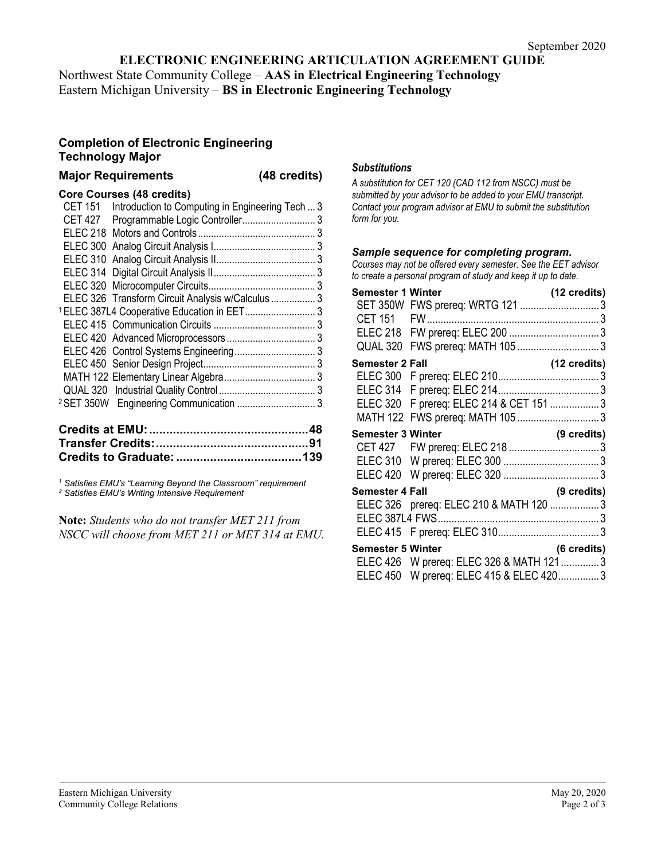#### **ELECTRONIC ENGINEERING ARTICULATION AGREEMENT GUIDE**

Northwest State Community College – **AAS in Electrical Engineering Technology** Eastern Michigan University – **BS in Electronic Engineering Technology**

#### **Completion of Electronic Engineering Technology Major**

# **Major Requirements (48 credits)**

## **Core Courses (48 credits)**

| <b>CET 151</b> | Introduction to Computing in Engineering Tech  3       |  |
|----------------|--------------------------------------------------------|--|
| <b>CET 427</b> |                                                        |  |
|                |                                                        |  |
|                |                                                        |  |
|                |                                                        |  |
|                |                                                        |  |
|                |                                                        |  |
|                | ELEC 326 Transform Circuit Analysis w/Calculus 3       |  |
|                | <sup>1</sup> ELEC 387L4 Cooperative Education in EET 3 |  |
|                |                                                        |  |
|                |                                                        |  |
|                |                                                        |  |
|                |                                                        |  |
|                |                                                        |  |
|                |                                                        |  |
|                |                                                        |  |
|                |                                                        |  |

*<sup>1</sup> Satisfies EMU's "Learning Beyond the Classroom" requirement <sup>2</sup> Satisfies EMU's Writing Intensive Requirement*

**Note:** *Students who do not transfer MET 211 from NSCC will choose from MET 211 or MET 314 at EMU.*

#### *Substitutions*

*A substitution for CET 120 (CAD 112 from NSCC) must be submitted by your advisor to be added to your EMU transcript. Contact your program advisor at EMU to submit the substitution form for you.*

#### *Sample sequence for completing program.*

*Courses may not be offered every semester. See the EET advisor to create a personal program of study and keep it up to date.*

| <b>Semester 1 Winter</b> | SET 350W FWS prereq: WRTG 121 3                                            | (12 credits) |
|--------------------------|----------------------------------------------------------------------------|--------------|
|                          |                                                                            |              |
|                          |                                                                            |              |
| QUAL 320                 | FWS prereq: MATH 105 3                                                     |              |
| <b>Semester 2 Fall</b>   |                                                                            | (12 credits) |
|                          |                                                                            |              |
|                          | ELEC 320 F prereq: ELEC 214 & CET 151  3<br>MATH 122 FWS prereq: MATH 1053 |              |
| <b>Semester 3 Winter</b> |                                                                            | (9 credits)  |
|                          |                                                                            |              |
|                          |                                                                            |              |
| <b>Semester 4 Fall</b>   |                                                                            | (9 credits)  |
|                          | ELEC 326 prereq: ELEC 210 & MATH 120 3                                     |              |
|                          |                                                                            |              |
| <b>Semester 5 Winter</b> | (6 credits)                                                                |              |
|                          | ELEC 426 W prereq: ELEC 326 & MATH 121 3                                   |              |
|                          | ELEC 450 W prereq: ELEC 415 & ELEC 4203                                    |              |